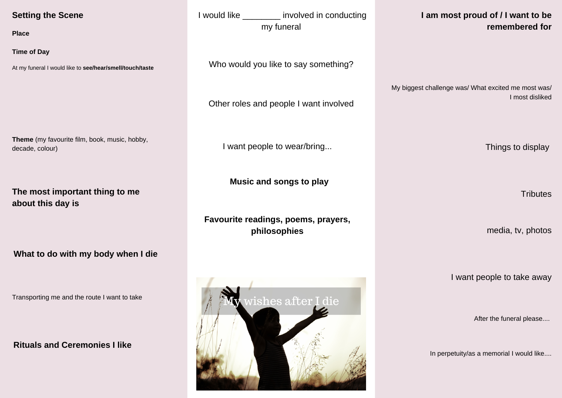## **Setting the Scene**

**Place**

**Time of Day**

At my funeral I would like to **see/hear/smell/touch/taste**

**Theme** (my favourite film, book, music, hobby, decade, colour)

I would like \_\_\_\_\_\_\_\_ involved in conducting my funeral

Who would you like to say something?

Other roles and people I want involved

I want people to wear/bring...

**What to do with my body when I die**

Transporting me and the route I want to take

## **I am most proud of / I want to be remembered for**

My biggest challenge was/ What excited me most was/ I most disliked

**Favourite readings, poems, prayers, philosophies**

Things to display

**Tributes** 

**Rituals and Ceremonies I like**

I want people to take away

**Music and songs to play**

**The most important thing to me about this day is**

media, tv, photos



After the funeral please....

In perpetuity/as a memorial I would like....